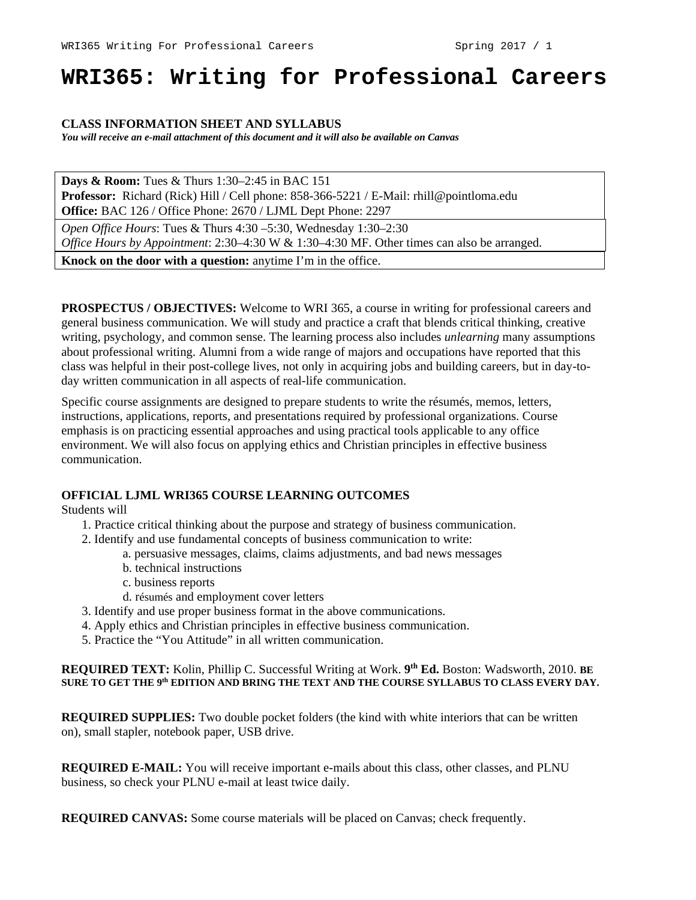# **WRI365: Writing for Professional Careers**

### **CLASS INFORMATION SHEET AND SYLLABUS**

*You will receive an e-mail attachment of this document and it will also be available on Canvas*

**Days & Room:** Tues & Thurs 1:30–2:45 in BAC 151 **Professor:** Richard (Rick) Hill / Cell phone: 858-366-5221 / E-Mail: rhill@pointloma.edu **Office:** BAC 126 / Office Phone: 2670 / LJML Dept Phone: 2297

*Open Office Hours*: Tues & Thurs 4:30 –5:30, Wednesday 1:30–2:30 *Office Hours by Appointment*: 2:30–4:30 W & 1:30–4:30 MF. Other times can also be arranged.

**Knock on the door with a question:** anytime I'm in the office.

**PROSPECTUS / OBJECTIVES:** Welcome to WRI 365, a course in writing for professional careers and general business communication. We will study and practice a craft that blends critical thinking, creative writing, psychology, and common sense. The learning process also includes *unlearning* many assumptions about professional writing. Alumni from a wide range of majors and occupations have reported that this class was helpful in their post-college lives, not only in acquiring jobs and building careers, but in day-today written communication in all aspects of real-life communication.

Specific course assignments are designed to prepare students to write the résumés, memos, letters, instructions, applications, reports, and presentations required by professional organizations. Course emphasis is on practicing essential approaches and using practical tools applicable to any office environment. We will also focus on applying ethics and Christian principles in effective business communication.

#### **OFFICIAL LJML WRI365 COURSE LEARNING OUTCOMES**

Students will

- 1. Practice critical thinking about the purpose and strategy of business communication.
- 2. Identify and use fundamental concepts of business communication to write:
	- a. persuasive messages, claims, claims adjustments, and bad news messages
	- b. technical instructions
	- c. business reports
	- d. résumés and employment cover letters
- 3. Identify and use proper business format in the above communications.
- 4. Apply ethics and Christian principles in effective business communication.
- 5. Practice the "You Attitude" in all written communication.

#### **REQUIRED TEXT:** Kolin, Phillip C. Successful Writing at Work. **9th Ed.** Boston: Wadsworth, 2010. **BE SURE TO GET THE 9th EDITION AND BRING THE TEXT AND THE COURSE SYLLABUS TO CLASS EVERY DAY.**

**REQUIRED SUPPLIES:** Two double pocket folders (the kind with white interiors that can be written on), small stapler, notebook paper, USB drive.

**REQUIRED E-MAIL:** You will receive important e-mails about this class, other classes, and PLNU business, so check your PLNU e-mail at least twice daily.

**REQUIRED CANVAS:** Some course materials will be placed on Canvas; check frequently.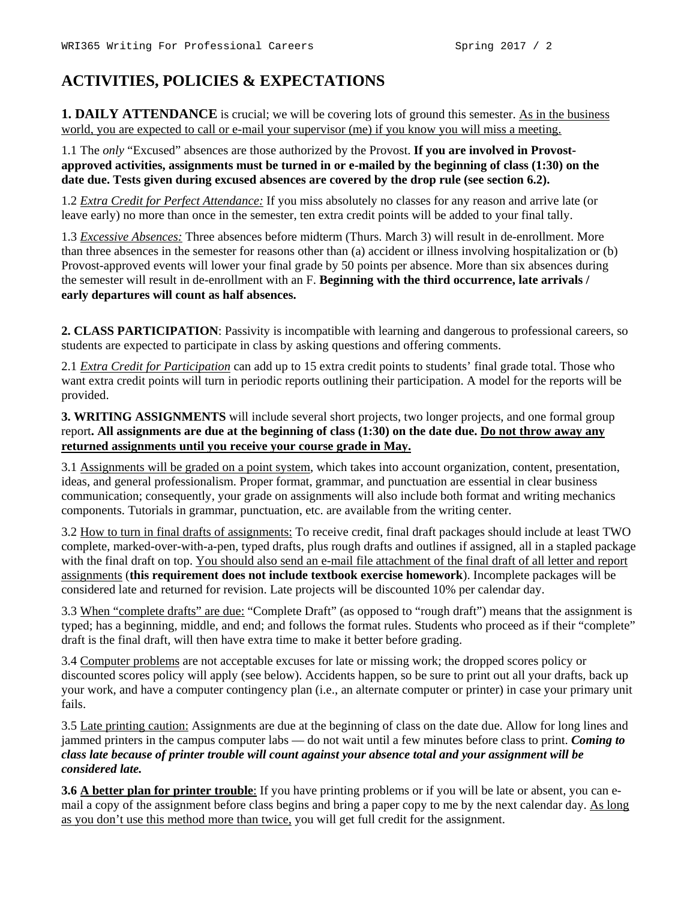# **ACTIVITIES, POLICIES & EXPECTATIONS**

**1. DAILY ATTENDANCE** is crucial; we will be covering lots of ground this semester. As in the business world, you are expected to call or e-mail your supervisor (me) if you know you will miss a meeting.

1.1 The *only* "Excused" absences are those authorized by the Provost. **If you are involved in Provostapproved activities, assignments must be turned in or e-mailed by the beginning of class (1:30) on the date due. Tests given during excused absences are covered by the drop rule (see section 6.2).** 

1.2 *Extra Credit for Perfect Attendance:* If you miss absolutely no classes for any reason and arrive late (or leave early) no more than once in the semester, ten extra credit points will be added to your final tally.

1.3 *Excessive Absences:* Three absences before midterm (Thurs. March 3) will result in de-enrollment. More than three absences in the semester for reasons other than (a) accident or illness involving hospitalization or (b) Provost-approved events will lower your final grade by 50 points per absence. More than six absences during the semester will result in de-enrollment with an F. **Beginning with the third occurrence, late arrivals / early departures will count as half absences.**

**2. CLASS PARTICIPATION**: Passivity is incompatible with learning and dangerous to professional careers, so students are expected to participate in class by asking questions and offering comments.

2.1 *Extra Credit for Participation* can add up to 15 extra credit points to students' final grade total. Those who want extra credit points will turn in periodic reports outlining their participation. A model for the reports will be provided.

**3. WRITING ASSIGNMENTS** will include several short projects, two longer projects, and one formal group report**. All assignments are due at the beginning of class (1:30) on the date due. Do not throw away any returned assignments until you receive your course grade in May.**

3.1 Assignments will be graded on a point system, which takes into account organization, content, presentation, ideas, and general professionalism. Proper format, grammar, and punctuation are essential in clear business communication; consequently, your grade on assignments will also include both format and writing mechanics components. Tutorials in grammar, punctuation, etc. are available from the writing center.

3.2 How to turn in final drafts of assignments: To receive credit, final draft packages should include at least TWO complete, marked-over-with-a-pen, typed drafts, plus rough drafts and outlines if assigned, all in a stapled package with the final draft on top. You should also send an e-mail file attachment of the final draft of all letter and report assignments (**this requirement does not include textbook exercise homework**). Incomplete packages will be considered late and returned for revision. Late projects will be discounted 10% per calendar day.

3.3 When "complete drafts" are due: "Complete Draft" (as opposed to "rough draft") means that the assignment is typed; has a beginning, middle, and end; and follows the format rules. Students who proceed as if their "complete" draft is the final draft, will then have extra time to make it better before grading.

3.4 Computer problems are not acceptable excuses for late or missing work; the dropped scores policy or discounted scores policy will apply (see below). Accidents happen, so be sure to print out all your drafts, back up your work, and have a computer contingency plan (i.e., an alternate computer or printer) in case your primary unit fails.

3.5 Late printing caution: Assignments are due at the beginning of class on the date due. Allow for long lines and jammed printers in the campus computer labs — do not wait until a few minutes before class to print. *Coming to class late because of printer trouble will count against your absence total and your assignment will be considered late.*

**3.6 A better plan for printer trouble**: If you have printing problems or if you will be late or absent, you can email a copy of the assignment before class begins and bring a paper copy to me by the next calendar day. As long as you don't use this method more than twice, you will get full credit for the assignment.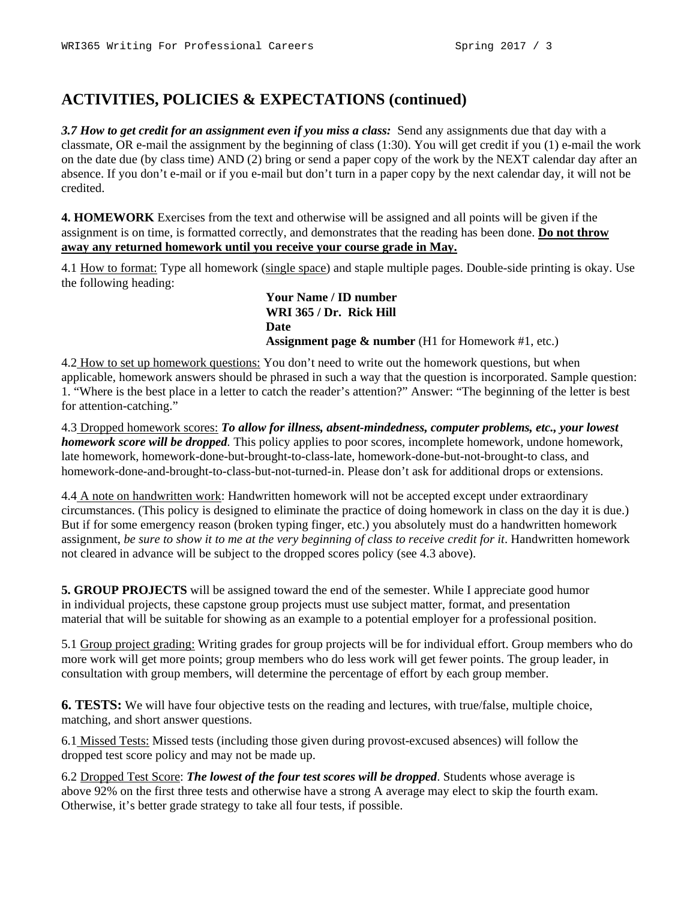## **ACTIVITIES, POLICIES & EXPECTATIONS (continued)**

*3.7 How to get credit for an assignment even if you miss a class:* Send any assignments due that day with a classmate, OR e-mail the assignment by the beginning of class (1:30). You will get credit if you (1) e-mail the work on the date due (by class time) AND (2) bring or send a paper copy of the work by the NEXT calendar day after an absence. If you don't e-mail or if you e-mail but don't turn in a paper copy by the next calendar day, it will not be credited.

**4. HOMEWORK** Exercises from the text and otherwise will be assigned and all points will be given if the assignment is on time, is formatted correctly, and demonstrates that the reading has been done. **Do not throw away any returned homework until you receive your course grade in May.**

4.1 How to format: Type all homework (single space) and staple multiple pages. Double-side printing is okay. Use the following heading:

> **Your Name / ID number WRI 365 / Dr. Rick Hill Date Assignment page & number** (H1 for Homework #1, etc.)

4.2 How to set up homework questions: You don't need to write out the homework questions, but when applicable, homework answers should be phrased in such a way that the question is incorporated. Sample question: 1. "Where is the best place in a letter to catch the reader's attention?" Answer: "The beginning of the letter is best for attention-catching."

4.3 Dropped homework scores: *To allow for illness, absent-mindedness, computer problems, etc., your lowest homework score will be dropped.* This policy applies to poor scores, incomplete homework, undone homework, late homework, homework-done-but-brought-to-class-late, homework-done-but-not-brought-to class, and homework-done-and-brought-to-class-but-not-turned-in. Please don't ask for additional drops or extensions.

4.4 A note on handwritten work: Handwritten homework will not be accepted except under extraordinary circumstances. (This policy is designed to eliminate the practice of doing homework in class on the day it is due.) But if for some emergency reason (broken typing finger, etc.) you absolutely must do a handwritten homework assignment, *be sure to show it to me at the very beginning of class to receive credit for it*. Handwritten homework not cleared in advance will be subject to the dropped scores policy (see 4.3 above).

**5. GROUP PROJECTS** will be assigned toward the end of the semester. While I appreciate good humor in individual projects, these capstone group projects must use subject matter, format, and presentation material that will be suitable for showing as an example to a potential employer for a professional position.

5.1 Group project grading: Writing grades for group projects will be for individual effort. Group members who do more work will get more points; group members who do less work will get fewer points. The group leader, in consultation with group members, will determine the percentage of effort by each group member.

**6. TESTS:** We will have four objective tests on the reading and lectures, with true/false, multiple choice, matching, and short answer questions.

6.1 Missed Tests: Missed tests (including those given during provost-excused absences) will follow the dropped test score policy and may not be made up.

6.2 Dropped Test Score: *The lowest of the four test scores will be dropped*. Students whose average is above 92% on the first three tests and otherwise have a strong A average may elect to skip the fourth exam. Otherwise, it's better grade strategy to take all four tests, if possible.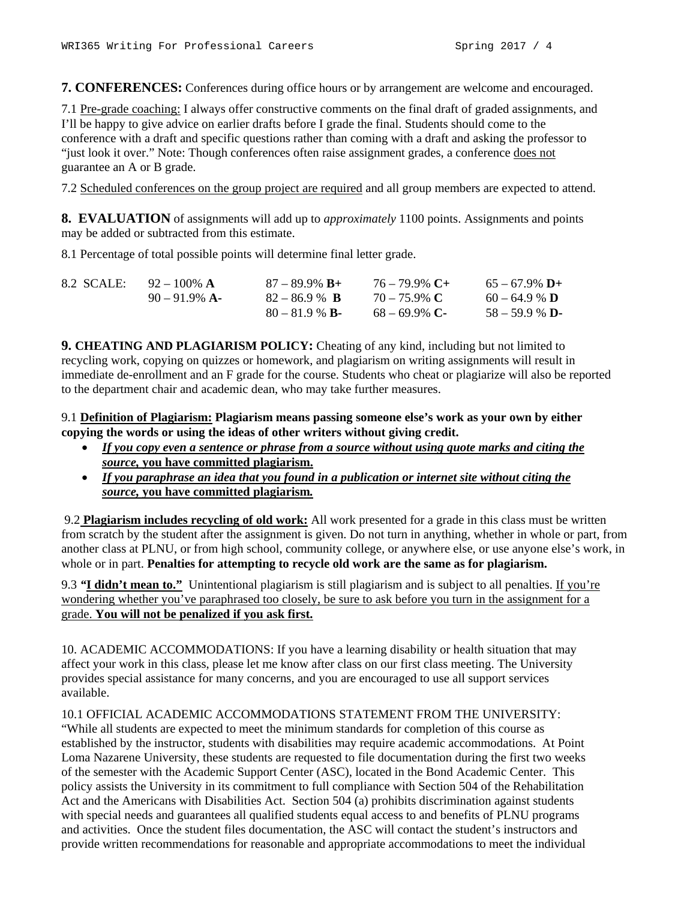**7. CONFERENCES:** Conferences during office hours or by arrangement are welcome and encouraged.

7.1 Pre-grade coaching: I always offer constructive comments on the final draft of graded assignments, and I'll be happy to give advice on earlier drafts before I grade the final. Students should come to the conference with a draft and specific questions rather than coming with a draft and asking the professor to "just look it over." Note: Though conferences often raise assignment grades, a conference does not guarantee an A or B grade.

7.2 Scheduled conferences on the group project are required and all group members are expected to attend.

**8. EVALUATION** of assignments will add up to *approximately* 1100 points. Assignments and points may be added or subtracted from this estimate.

8.1 Percentage of total possible points will determine final letter grade.

| 8.2 SCALE: $92-100\%$ A | $87 - 89.9\%$ B+       | $76 - 79.9\%$ C+ | $65 - 67.9\%$ D+ |
|-------------------------|------------------------|------------------|------------------|
| $90 - 91.9\%$ A-        | $82 - 86.9$ % <b>B</b> | $70 - 75.9\%$ C  | $60 - 64.9$ % D  |
|                         | $80 - 81.9$ % <b>B</b> | $68 - 69.9\%$ C- | $58 - 59.9 %$ D- |

**9. CHEATING AND PLAGIARISM POLICY:** Cheating of any kind, including but not limited to recycling work, copying on quizzes or homework, and plagiarism on writing assignments will result in immediate de-enrollment and an F grade for the course. Students who cheat or plagiarize will also be reported to the department chair and academic dean, who may take further measures.

9.1 **Definition of Plagiarism: Plagiarism means passing someone else's work as your own by either copying the words or using the ideas of other writers without giving credit.**

- *If you copy even a sentence or phrase from a source without using quote marks and citing the source,* **you have committed plagiarism.**
- *If you paraphrase an idea that you found in a publication or internet site without citing the source,* **you have committed plagiarism***.*

9.2 **Plagiarism includes recycling of old work:** All work presented for a grade in this class must be written from scratch by the student after the assignment is given. Do not turn in anything, whether in whole or part, from another class at PLNU, or from high school, community college, or anywhere else, or use anyone else's work, in whole or in part. **Penalties for attempting to recycle old work are the same as for plagiarism.**

9.3 *"***I didn't mean to."** Unintentional plagiarism is still plagiarism and is subject to all penalties. If you're wondering whether you've paraphrased too closely, be sure to ask before you turn in the assignment for a grade. **You will not be penalized if you ask first.**

10. ACADEMIC ACCOMMODATIONS: If you have a learning disability or health situation that may affect your work in this class, please let me know after class on our first class meeting. The University provides special assistance for many concerns, and you are encouraged to use all support services available.

10.1 OFFICIAL ACADEMIC ACCOMMODATIONS STATEMENT FROM THE UNIVERSITY:

"While all students are expected to meet the minimum standards for completion of this course as established by the instructor, students with disabilities may require academic accommodations. At Point Loma Nazarene University, these students are requested to file documentation during the first two weeks of the semester with the Academic Support Center (ASC), located in the Bond Academic Center. This policy assists the University in its commitment to full compliance with Section 504 of the Rehabilitation Act and the Americans with Disabilities Act. Section 504 (a) prohibits discrimination against students with special needs and guarantees all qualified students equal access to and benefits of PLNU programs and activities. Once the student files documentation, the ASC will contact the student's instructors and provide written recommendations for reasonable and appropriate accommodations to meet the individual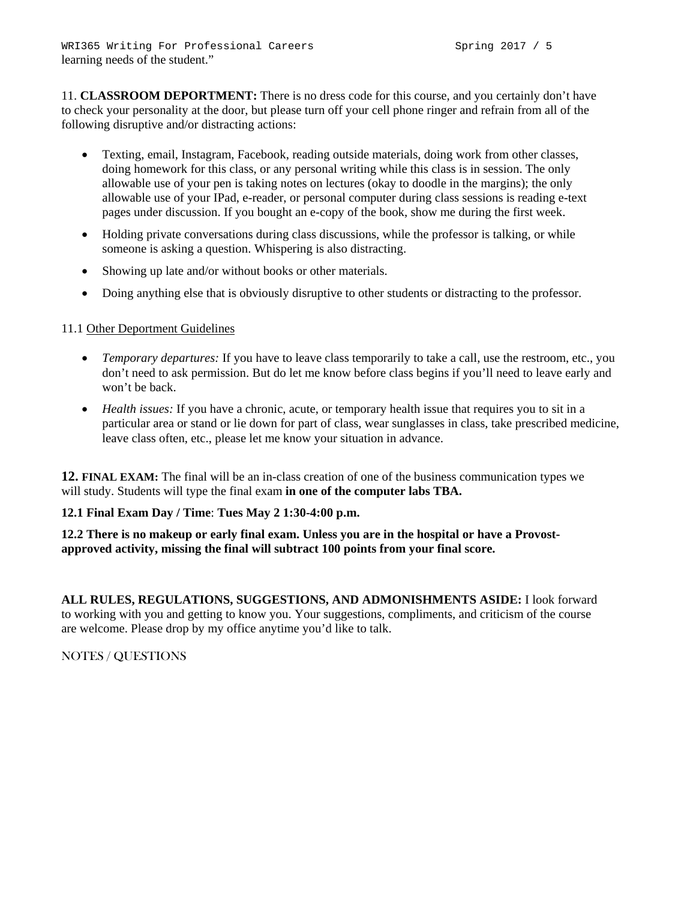11. **CLASSROOM DEPORTMENT:** There is no dress code for this course, and you certainly don't have to check your personality at the door, but please turn off your cell phone ringer and refrain from all of the following disruptive and/or distracting actions:

- Texting, email, Instagram, Facebook, reading outside materials, doing work from other classes, doing homework for this class, or any personal writing while this class is in session. The only allowable use of your pen is taking notes on lectures (okay to doodle in the margins); the only allowable use of your IPad, e-reader, or personal computer during class sessions is reading e-text pages under discussion. If you bought an e-copy of the book, show me during the first week.
- Holding private conversations during class discussions, while the professor is talking, or while someone is asking a question. Whispering is also distracting.
- Showing up late and/or without books or other materials.
- Doing anything else that is obviously disruptive to other students or distracting to the professor.

## 11.1 Other Deportment Guidelines

- *Temporary departures:* If you have to leave class temporarily to take a call, use the restroom, etc., you don't need to ask permission. But do let me know before class begins if you'll need to leave early and won't be back.
- *Health issues:* If you have a chronic, acute, or temporary health issue that requires you to sit in a particular area or stand or lie down for part of class, wear sunglasses in class, take prescribed medicine, leave class often, etc., please let me know your situation in advance.

**12. FINAL EXAM:** The final will be an in-class creation of one of the business communication types we will study. Students will type the final exam **in one of the computer labs TBA.**

### **12.1 Final Exam Day / Time**: **Tues May 2 1:30-4:00 p.m.**

**12.2 There is no makeup or early final exam. Unless you are in the hospital or have a Provostapproved activity, missing the final will subtract 100 points from your final score.**

**ALL RULES, REGULATIONS, SUGGESTIONS, AND ADMONISHMENTS ASIDE:** I look forward to working with you and getting to know you. Your suggestions, compliments, and criticism of the course are welcome. Please drop by my office anytime you'd like to talk.

NOTES / QUESTIONS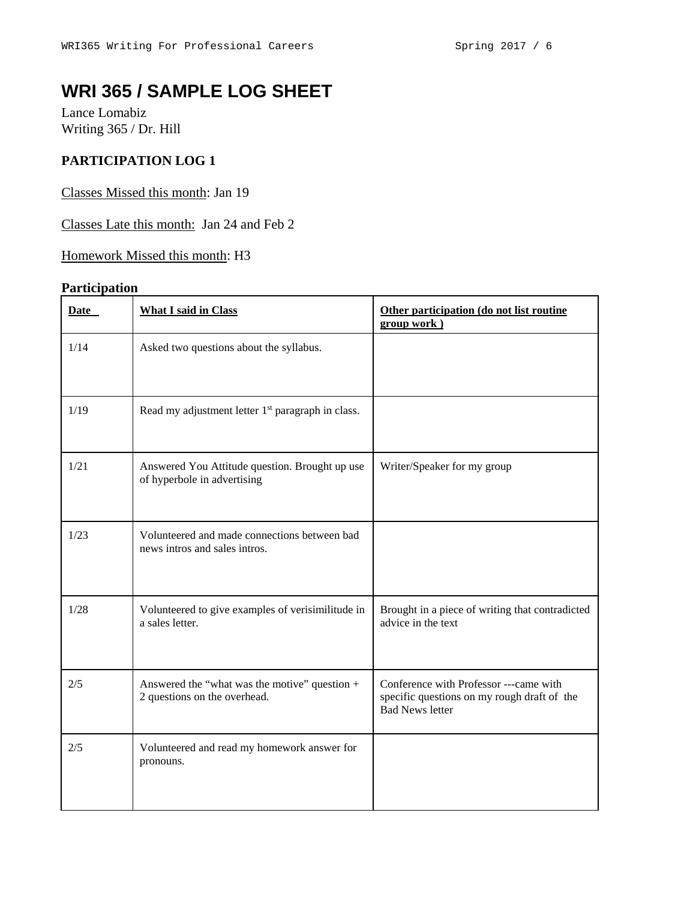# **WRI 365 / SAMPLE LOG SHEET**

Lance Lomabiz Writing 365 / Dr. Hill

## **PARTICIPATION LOG 1**

Classes Missed this month: Jan 19

Classes Late this month: Jan 24 and Feb 2

Homework Missed this month: H3

## **Participation**

| Date | <b>What I said in Class</b>                                                   | Other participation (do not list routine<br>group work)                                                         |
|------|-------------------------------------------------------------------------------|-----------------------------------------------------------------------------------------------------------------|
| 1/14 | Asked two questions about the syllabus.                                       |                                                                                                                 |
| 1/19 | Read my adjustment letter 1 <sup>st</sup> paragraph in class.                 |                                                                                                                 |
| 1/21 | Answered You Attitude question. Brought up use<br>of hyperbole in advertising | Writer/Speaker for my group                                                                                     |
| 1/23 | Volunteered and made connections between bad<br>news intros and sales intros. |                                                                                                                 |
| 1/28 | Volunteered to give examples of verisimilitude in<br>a sales letter.          | Brought in a piece of writing that contradicted<br>advice in the text                                           |
| 2/5  | Answered the "what was the motive" question +<br>2 questions on the overhead. | Conference with Professor ---came with<br>specific questions on my rough draft of the<br><b>Bad News letter</b> |
| 2/5  | Volunteered and read my homework answer for<br>pronouns.                      |                                                                                                                 |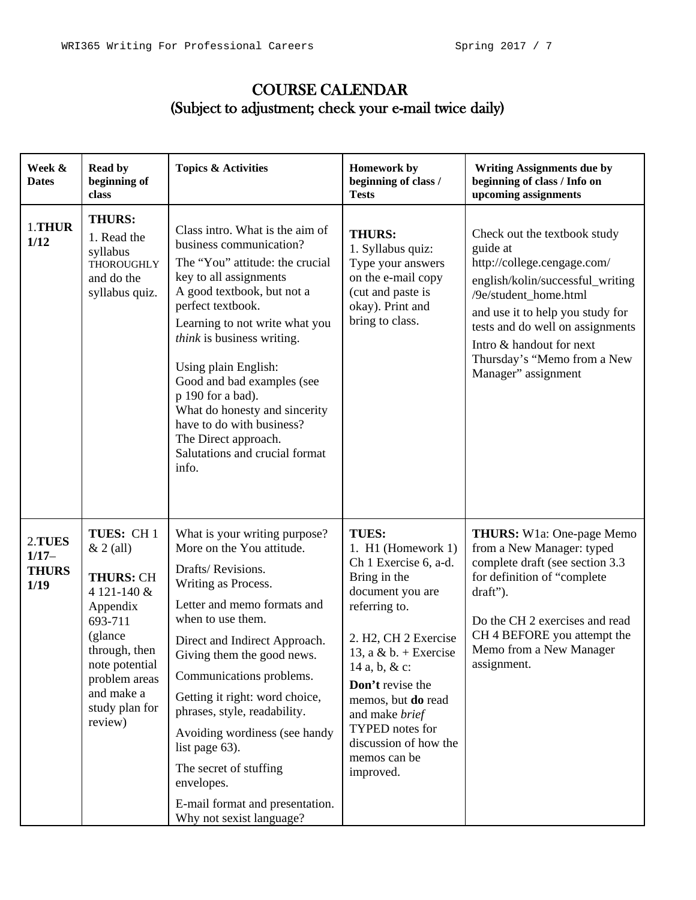## COURSE CALENDAR (Subject to adjustment; check your e-mail twice daily)

| Week &<br><b>Dates</b>                      | <b>Read by</b><br>beginning of<br>class                                                                                                                                                      | <b>Topics &amp; Activities</b>                                                                                                                                                                                                                                                                                                                                                                                                                                                    | <b>Homework by</b><br>beginning of class /<br><b>Tests</b>                                                                                                                                                                                                                                                                                      | <b>Writing Assignments due by</b><br>beginning of class / Info on<br>upcoming assignments                                                                                                                                                                                                      |
|---------------------------------------------|----------------------------------------------------------------------------------------------------------------------------------------------------------------------------------------------|-----------------------------------------------------------------------------------------------------------------------------------------------------------------------------------------------------------------------------------------------------------------------------------------------------------------------------------------------------------------------------------------------------------------------------------------------------------------------------------|-------------------------------------------------------------------------------------------------------------------------------------------------------------------------------------------------------------------------------------------------------------------------------------------------------------------------------------------------|------------------------------------------------------------------------------------------------------------------------------------------------------------------------------------------------------------------------------------------------------------------------------------------------|
| 1.THUR<br>1/12                              | <b>THURS:</b><br>1. Read the<br>syllabus<br><b>THOROUGHLY</b><br>and do the<br>syllabus quiz.                                                                                                | Class intro. What is the aim of<br>business communication?<br>The "You" attitude: the crucial<br>key to all assignments<br>A good textbook, but not a<br>perfect textbook.<br>Learning to not write what you<br>think is business writing.<br>Using plain English:<br>Good and bad examples (see<br>p 190 for a bad).<br>What do honesty and sincerity<br>have to do with business?<br>The Direct approach.<br>Salutations and crucial format<br>info.                            | <b>THURS:</b><br>1. Syllabus quiz:<br>Type your answers<br>on the e-mail copy<br>(cut and paste is<br>okay). Print and<br>bring to class.                                                                                                                                                                                                       | Check out the textbook study<br>guide at<br>http://college.cengage.com/<br>english/kolin/successful_writing<br>/9e/student_home.html<br>and use it to help you study for<br>tests and do well on assignments<br>Intro & handout for next<br>Thursday's "Memo from a New<br>Manager" assignment |
| 2.TUES<br>$1/17-$<br><b>THURS</b><br>$1/19$ | TUES: CH1<br>$& 2$ (all)<br><b>THURS: CH</b><br>4 121-140 &<br>Appendix<br>693-711<br>(glance<br>through, then<br>note potential<br>problem areas<br>and make a<br>study plan for<br>review) | What is your writing purpose?<br>More on the You attitude.<br>Drafts/Revisions.<br>Writing as Process.<br>Letter and memo formats and<br>when to use them.<br>Direct and Indirect Approach.<br>Giving them the good news.<br>Communications problems.<br>Getting it right: word choice,<br>phrases, style, readability.<br>Avoiding wordiness (see handy<br>list page 63).<br>The secret of stuffing<br>envelopes.<br>E-mail format and presentation.<br>Why not sexist language? | <b>TUES:</b><br>1. H1 (Homework 1)<br>Ch 1 Exercise 6, a-d.<br>Bring in the<br>document you are<br>referring to.<br>2. H <sub>2</sub> , CH <sub>2</sub> Exercise<br>13, a & b. + Exercise<br>14 a, b, & c:<br>Don't revise the<br>memos, but do read<br>and make brief<br>TYPED notes for<br>discussion of how the<br>memos can be<br>improved. | THURS: W1a: One-page Memo<br>from a New Manager: typed<br>complete draft (see section 3.3<br>for definition of "complete<br>draft").<br>Do the CH 2 exercises and read<br>CH 4 BEFORE you attempt the<br>Memo from a New Manager<br>assignment.                                                |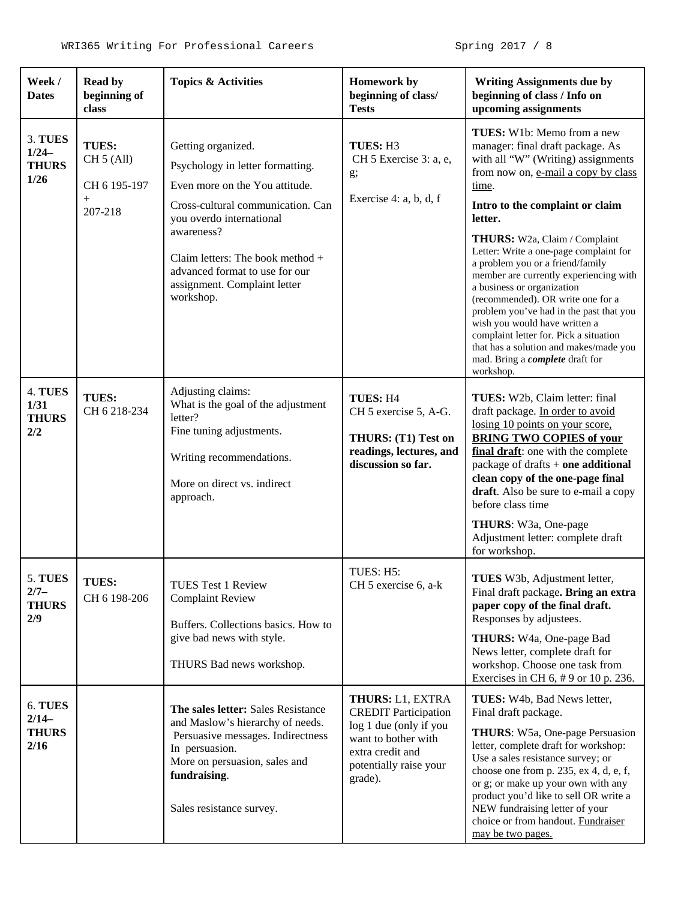| Week /<br><b>Dates</b>                          | Read by<br>beginning of<br>class                                          | <b>Topics &amp; Activities</b>                                                                                                                                                                                                                                                             | <b>Homework by</b><br>beginning of class/<br><b>Tests</b>                                                                                                 | <b>Writing Assignments due by</b><br>beginning of class / Info on<br>upcoming assignments                                                                                                                                                                                                                                                                                                                                                                                                                                                                                                                                                             |
|-------------------------------------------------|---------------------------------------------------------------------------|--------------------------------------------------------------------------------------------------------------------------------------------------------------------------------------------------------------------------------------------------------------------------------------------|-----------------------------------------------------------------------------------------------------------------------------------------------------------|-------------------------------------------------------------------------------------------------------------------------------------------------------------------------------------------------------------------------------------------------------------------------------------------------------------------------------------------------------------------------------------------------------------------------------------------------------------------------------------------------------------------------------------------------------------------------------------------------------------------------------------------------------|
| 3. TUES<br>$1/24-$<br><b>THURS</b><br>1/26      | <b>TUES:</b><br>CH 5 (All)<br>CH 6 195-197<br>$\boldsymbol{+}$<br>207-218 | Getting organized.<br>Psychology in letter formatting.<br>Even more on the You attitude.<br>Cross-cultural communication. Can<br>you overdo international<br>awareness?<br>Claim letters: The book method +<br>advanced format to use for our<br>assignment. Complaint letter<br>workshop. | TUES: H3<br>CH 5 Exercise 3: a, e,<br>g;<br>Exercise 4: a, b, d, f                                                                                        | TUES: W1b: Memo from a new<br>manager: final draft package. As<br>with all "W" (Writing) assignments<br>from now on, e-mail a copy by class<br>time.<br>Intro to the complaint or claim<br>letter.<br>THURS: W2a, Claim / Complaint<br>Letter: Write a one-page complaint for<br>a problem you or a friend/family<br>member are currently experiencing with<br>a business or organization<br>(recommended). OR write one for a<br>problem you've had in the past that you<br>wish you would have written a<br>complaint letter for. Pick a situation<br>that has a solution and makes/made you<br>mad. Bring a <i>complete</i> draft for<br>workshop. |
| 4. TUES<br>1/31<br><b>THURS</b><br>2/2          | <b>TUES:</b><br>CH 6 218-234                                              | Adjusting claims:<br>What is the goal of the adjustment<br>letter?<br>Fine tuning adjustments.<br>Writing recommendations.<br>More on direct vs. indirect<br>approach.                                                                                                                     | TUES: H4<br>CH 5 exercise 5, A-G.<br>THURS: (T1) Test on<br>readings, lectures, and<br>discussion so far.                                                 | TUES: W2b, Claim letter: final<br>draft package. In order to avoid<br>losing 10 points on your score,<br><b>BRING TWO COPIES of your</b><br>final draft: one with the complete<br>package of drafts $+$ one additional<br>clean copy of the one-page final<br>draft. Also be sure to e-mail a copy<br>before class time<br>THURS: W3a, One-page<br>Adjustment letter: complete draft<br>for workshop.                                                                                                                                                                                                                                                 |
| <b>5. TUES</b><br>$2/7-$<br><b>THURS</b><br>2/9 | TUES:<br>CH 6 198-206                                                     | <b>TUES Test 1 Review</b><br><b>Complaint Review</b><br>Buffers. Collections basics. How to<br>give bad news with style.<br>THURS Bad news workshop.                                                                                                                                       | TUES: H5:<br>CH 5 exercise 6, a-k                                                                                                                         | TUES W3b, Adjustment letter,<br>Final draft package. Bring an extra<br>paper copy of the final draft.<br>Responses by adjustees.<br>THURS: W4a, One-page Bad<br>News letter, complete draft for<br>workshop. Choose one task from<br>Exercises in CH 6, #9 or 10 p. 236.                                                                                                                                                                                                                                                                                                                                                                              |
| 6. TUES<br>$2/14-$<br><b>THURS</b><br>2/16      |                                                                           | The sales letter: Sales Resistance<br>and Maslow's hierarchy of needs.<br>Persuasive messages. Indirectness<br>In persuasion.<br>More on persuasion, sales and<br>fundraising.<br>Sales resistance survey.                                                                                 | THURS: L1, EXTRA<br><b>CREDIT Participation</b><br>log 1 due (only if you<br>want to bother with<br>extra credit and<br>potentially raise your<br>grade). | TUES: W4b, Bad News letter,<br>Final draft package.<br>THURS: W5a, One-page Persuasion<br>letter, complete draft for workshop:<br>Use a sales resistance survey; or<br>choose one from p. 235, ex 4, d, e, f,<br>or g; or make up your own with any<br>product you'd like to sell OR write a<br>NEW fundraising letter of your<br>choice or from handout. Fundraiser<br>may be two pages.                                                                                                                                                                                                                                                             |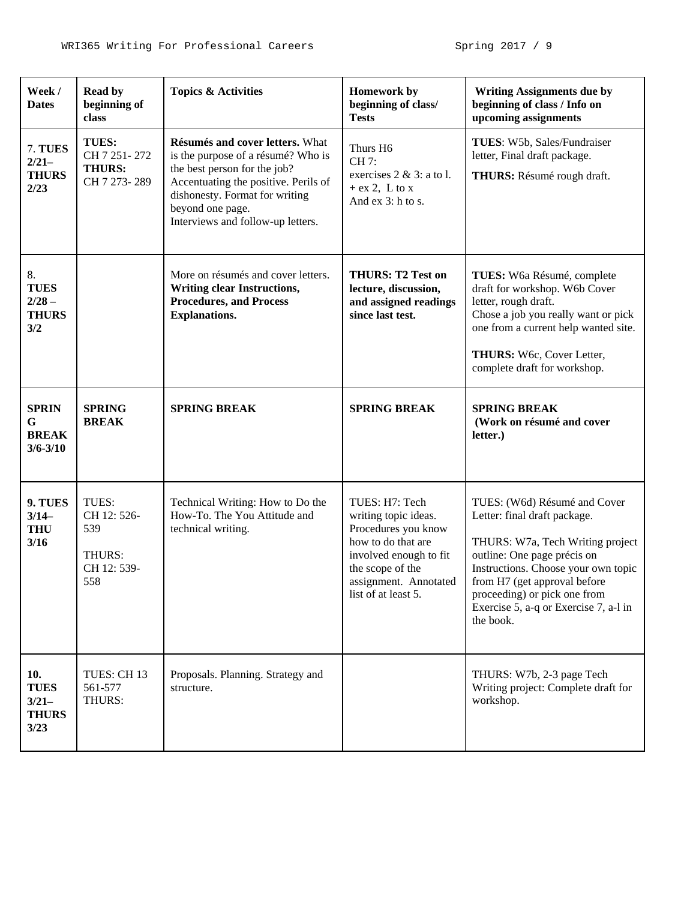| Week /<br><b>Dates</b>                                | <b>Read by</b><br>beginning of<br>class                     | <b>Topics &amp; Activities</b>                                                                                                                                                                                                           | <b>Homework by</b><br>beginning of class/<br><b>Tests</b>                                                                                                                         | <b>Writing Assignments due by</b><br>beginning of class / Info on<br>upcoming assignments                                                                                                                                                                                                    |
|-------------------------------------------------------|-------------------------------------------------------------|------------------------------------------------------------------------------------------------------------------------------------------------------------------------------------------------------------------------------------------|-----------------------------------------------------------------------------------------------------------------------------------------------------------------------------------|----------------------------------------------------------------------------------------------------------------------------------------------------------------------------------------------------------------------------------------------------------------------------------------------|
| 7. TUES<br>$2/21-$<br><b>THURS</b><br>2/23            | TUES:<br>CH 7 251-272<br><b>THURS:</b><br>CH 7 273-289      | Résumés and cover letters. What<br>is the purpose of a résumé? Who is<br>the best person for the job?<br>Accentuating the positive. Perils of<br>dishonesty. Format for writing<br>beyond one page.<br>Interviews and follow-up letters. | Thurs H6<br>CH 7:<br>exercises $2 \& 3$ : a to l.<br>$+$ ex 2, L to x<br>And ex 3: h to s.                                                                                        | TUES: W5b, Sales/Fundraiser<br>letter, Final draft package.<br>THURS: Résumé rough draft.                                                                                                                                                                                                    |
| 8.<br><b>TUES</b><br>$2/28 -$<br><b>THURS</b><br>3/2  |                                                             | More on résumés and cover letters.<br><b>Writing clear Instructions,</b><br><b>Procedures, and Process</b><br><b>Explanations.</b>                                                                                                       | <b>THURS: T2 Test on</b><br>lecture, discussion,<br>and assigned readings<br>since last test.                                                                                     | TUES: W6a Résumé, complete<br>draft for workshop. W6b Cover<br>letter, rough draft.<br>Chose a job you really want or pick<br>one from a current help wanted site.<br>THURS: W6c, Cover Letter,<br>complete draft for workshop.                                                              |
| <b>SPRIN</b><br>G<br><b>BREAK</b><br>$3/6 - 3/10$     | <b>SPRING</b><br><b>BREAK</b>                               | <b>SPRING BREAK</b>                                                                                                                                                                                                                      | <b>SPRING BREAK</b>                                                                                                                                                               | <b>SPRING BREAK</b><br>(Work on résumé and cover<br>letter.)                                                                                                                                                                                                                                 |
| 9. TUES<br>$3/14-$<br><b>THU</b><br>3/16              | TUES:<br>CH 12: 526-<br>539<br>THURS:<br>CH 12: 539-<br>558 | Technical Writing: How to Do the<br>How-To. The You Attitude and<br>technical writing.                                                                                                                                                   | TUES: H7: Tech<br>writing topic ideas.<br>Procedures you know<br>how to do that are<br>involved enough to fit<br>the scope of the<br>assignment. Annotated<br>list of at least 5. | TUES: (W6d) Résumé and Cover<br>Letter: final draft package.<br>THURS: W7a, Tech Writing project<br>outline: One page précis on<br>Instructions. Choose your own topic<br>from H7 (get approval before<br>proceeding) or pick one from<br>Exercise 5, a-q or Exercise 7, a-1 in<br>the book. |
| 10.<br><b>TUES</b><br>$3/21-$<br><b>THURS</b><br>3/23 | TUES: CH 13<br>561-577<br>THURS:                            | Proposals. Planning. Strategy and<br>structure.                                                                                                                                                                                          |                                                                                                                                                                                   | THURS: W7b, 2-3 page Tech<br>Writing project: Complete draft for<br>workshop.                                                                                                                                                                                                                |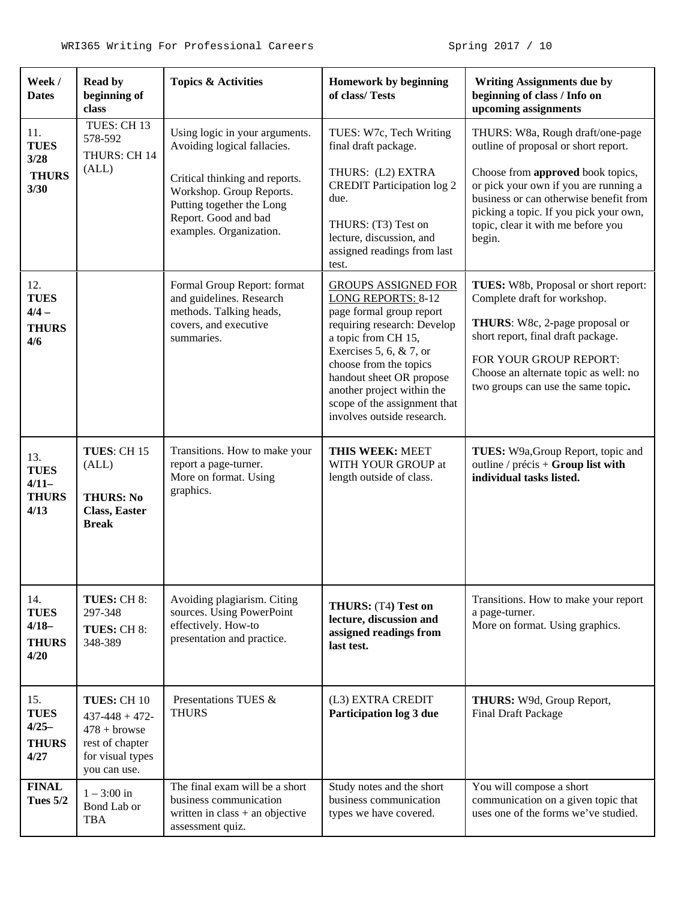| Week /<br><b>Dates</b>                                | <b>Read by</b><br>beginning of<br>class                                                                   | <b>Topics &amp; Activities</b>                                                                                                                                                                              | Homework by beginning<br>of class/Tests                                                                                                                                                                                                                                                                                   | <b>Writing Assignments due by</b><br>beginning of class / Info on<br>upcoming assignments                                                                                                                                                                                                  |
|-------------------------------------------------------|-----------------------------------------------------------------------------------------------------------|-------------------------------------------------------------------------------------------------------------------------------------------------------------------------------------------------------------|---------------------------------------------------------------------------------------------------------------------------------------------------------------------------------------------------------------------------------------------------------------------------------------------------------------------------|--------------------------------------------------------------------------------------------------------------------------------------------------------------------------------------------------------------------------------------------------------------------------------------------|
| 11.<br><b>TUES</b><br>3/28<br><b>THURS</b><br>3/30    | TUES: CH 13<br>578-592<br>THURS: CH 14<br>(ALL)                                                           | Using logic in your arguments.<br>Avoiding logical fallacies.<br>Critical thinking and reports.<br>Workshop. Group Reports.<br>Putting together the Long<br>Report. Good and bad<br>examples. Organization. | TUES: W7c, Tech Writing<br>final draft package.<br>THURS: (L2) EXTRA<br><b>CREDIT Participation log 2</b><br>due.<br>THURS: (T3) Test on<br>lecture, discussion, and<br>assigned readings from last<br>test.                                                                                                              | THURS: W8a, Rough draft/one-page<br>outline of proposal or short report.<br>Choose from approved book topics,<br>or pick your own if you are running a<br>business or can otherwise benefit from<br>picking a topic. If you pick your own,<br>topic, clear it with me before you<br>begin. |
| 12.<br><b>TUES</b><br>$4/4 -$<br><b>THURS</b><br>4/6  |                                                                                                           | Formal Group Report: format<br>and guidelines. Research<br>methods. Talking heads,<br>covers, and executive<br>summaries.                                                                                   | <b>GROUPS ASSIGNED FOR</b><br><b>LONG REPORTS: 8-12</b><br>page formal group report<br>requiring research: Develop<br>a topic from CH 15,<br>Exercises 5, 6, $& 7$ , or<br>choose from the topics<br>handout sheet OR propose<br>another project within the<br>scope of the assignment that<br>involves outside research. | TUES: W8b, Proposal or short report:<br>Complete draft for workshop.<br>THURS: W8c, 2-page proposal or<br>short report, final draft package.<br>FOR YOUR GROUP REPORT:<br>Choose an alternate topic as well: no<br>two groups can use the same topic.                                      |
| 13.<br><b>TUES</b><br>$4/11-$<br><b>THURS</b><br>4/13 | TUES: CH 15<br>(ALL)<br><b>THURS: No</b><br><b>Class, Easter</b><br><b>Break</b>                          | Transitions. How to make your<br>report a page-turner.<br>More on format. Using<br>graphics.                                                                                                                | THIS WEEK: MEET<br>WITH YOUR GROUP at<br>length outside of class.                                                                                                                                                                                                                                                         | TUES: W9a, Group Report, topic and<br>outline / $precis + Group list with$<br>individual tasks listed.                                                                                                                                                                                     |
| 14.<br><b>TUES</b><br>$4/18-$<br><b>THURS</b><br>4/20 | TUES: CH 8:<br>297-348<br>TUES: CH 8:<br>348-389                                                          | Avoiding plagiarism. Citing<br>sources. Using PowerPoint<br>effectively. How-to<br>presentation and practice.                                                                                               | THURS: (T4) Test on<br>lecture, discussion and<br>assigned readings from<br>last test.                                                                                                                                                                                                                                    | Transitions. How to make your report<br>a page-turner.<br>More on format. Using graphics.                                                                                                                                                                                                  |
| 15.<br><b>TUES</b><br>$4/25-$<br><b>THURS</b><br>4/27 | TUES: CH 10<br>$437 - 448 + 472$<br>$478 +$ browse<br>rest of chapter<br>for visual types<br>you can use. | Presentations TUES &<br><b>THURS</b>                                                                                                                                                                        | (L3) EXTRA CREDIT<br>Participation log 3 due                                                                                                                                                                                                                                                                              | THURS: W9d, Group Report,<br><b>Final Draft Package</b>                                                                                                                                                                                                                                    |
| <b>FINAL</b><br><b>Tues 5/2</b>                       | $1 - 3:00$ in<br>Bond Lab or<br><b>TBA</b>                                                                | The final exam will be a short<br>business communication<br>written in $class + an objective$<br>assessment quiz.                                                                                           | Study notes and the short<br>business communication<br>types we have covered.                                                                                                                                                                                                                                             | You will compose a short<br>communication on a given topic that<br>uses one of the forms we've studied.                                                                                                                                                                                    |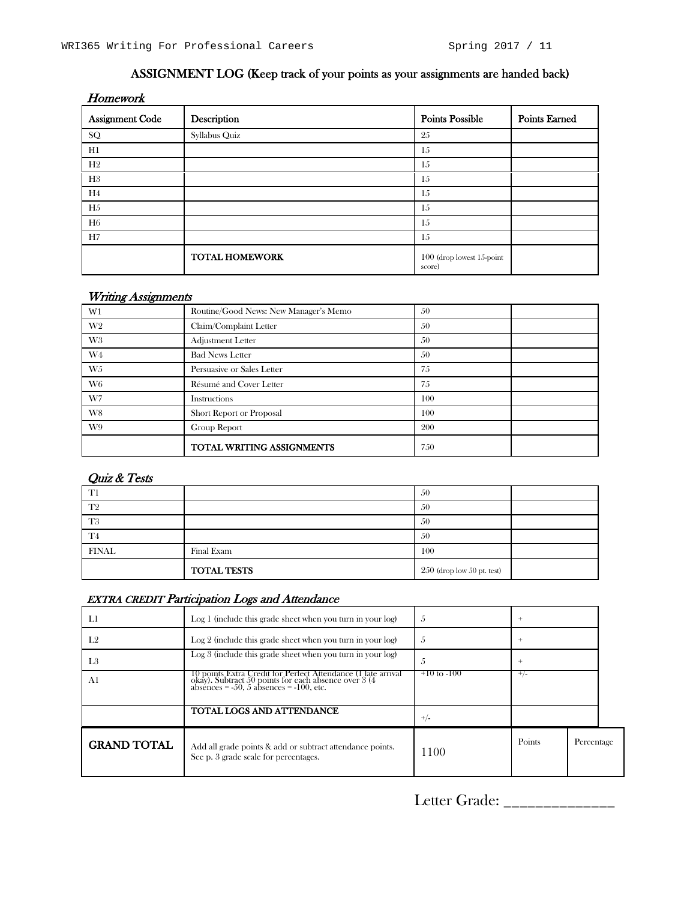## ASSIGNMENT LOG (Keep track of your points as your assignments are handed back)

| Homework               |                       |                                       |                      |
|------------------------|-----------------------|---------------------------------------|----------------------|
| <b>Assignment Code</b> | Description           | <b>Points Possible</b>                | <b>Points Earned</b> |
| SQ                     | Syllabus Quiz         | 25                                    |                      |
| H1                     |                       | 15                                    |                      |
| H2                     |                       | 15                                    |                      |
| H3                     |                       | 15                                    |                      |
| H4                     |                       | 15                                    |                      |
| H <sub>5</sub>         |                       | 15                                    |                      |
| H6                     |                       | 15                                    |                      |
| H7                     |                       | 15                                    |                      |
|                        | <b>TOTAL HOMEWORK</b> | $100$ (drop lowest 15-point<br>score) |                      |

#### Writing Assignments

| W <sub>1</sub> | Routine/Good News: New Manager's Memo | 50  |  |
|----------------|---------------------------------------|-----|--|
| W <sub>2</sub> | Claim/Complaint Letter                | 50  |  |
| W <sub>3</sub> | Adjustment Letter                     | 50  |  |
| W4             | <b>Bad News Letter</b>                | 50  |  |
| W5             | Persuasive or Sales Letter            | 7.5 |  |
| W <sub>6</sub> | Résumé and Cover Letter               | 75  |  |
| W7             | Instructions                          | 100 |  |
| W8             | Short Report or Proposal              | 100 |  |
| W9             | Group Report                          | 200 |  |
|                | TOTAL WRITING ASSIGNMENTS             | 750 |  |

## Quiz & Tests

| T1             |                    | 50                             |  |
|----------------|--------------------|--------------------------------|--|
| T <sub>2</sub> |                    | 50                             |  |
| T <sub>3</sub> |                    | 50                             |  |
| T <sub>4</sub> |                    | 50                             |  |
| <b>FINAL</b>   | Final Exam         | 100                            |  |
|                | <b>TOTAL TESTS</b> | $250$ (drop low $50$ pt. test) |  |

## EXTRA CREDIT Participation Logs and Attendance

| Ll                 | Log 1 (include this grade sheet when you turn in your log)                                                                                                                       | Ő               | $^+$     |            |  |
|--------------------|----------------------------------------------------------------------------------------------------------------------------------------------------------------------------------|-----------------|----------|------------|--|
| I.2                | $\text{Log } 2$ (include this grade sheet when you turn in your $\log$ )                                                                                                         | O.              | $^{+}$   |            |  |
| L <sub>3</sub>     | $Log 3$ (include this grade sheet when you turn in your $log$ )                                                                                                                  | Ő               | $^{+}$   |            |  |
| Al                 | 10 points Extra Credit for Perfect Attendance (1 late arrival okay). Subtract 50 points for each absences $\approx 3(4)$ absences $\approx 50$ , 5 absences $\approx 100$ , etc. | $+10$ to $-100$ | $^{+/-}$ |            |  |
|                    | TOTAL LOGS AND ATTENDANCE                                                                                                                                                        | $+/-$           |          |            |  |
| <b>GRAND TOTAL</b> | Add all grade points & add or subtract attendance points.<br>See p. 3 grade scale for percentages.                                                                               | 1100            | Points   | Percentage |  |

Letter Grade: \_\_\_\_\_\_\_\_\_\_\_\_\_\_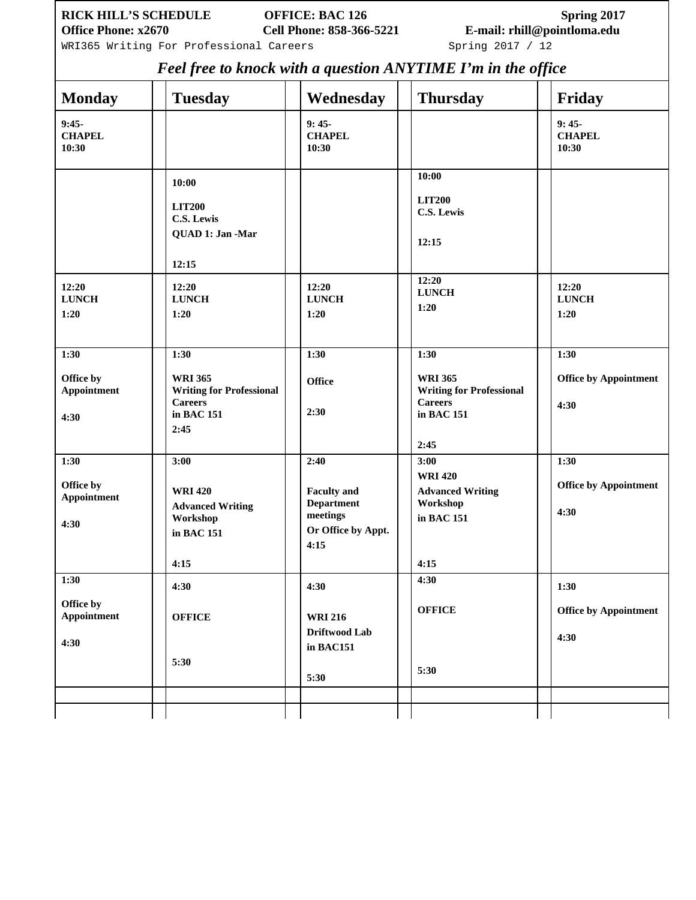WRI365 Writing For Professional Careers Spring 2017 / 12

*Feel free to knock with a question ANYTIME I'm in the office*

|                                          |                                                                                                   |                                                                                           | I cor ji ce to mnoch wan a question meri I man I m an ane of jice                                 |                                              |
|------------------------------------------|---------------------------------------------------------------------------------------------------|-------------------------------------------------------------------------------------------|---------------------------------------------------------------------------------------------------|----------------------------------------------|
| <b>Monday</b>                            | <b>Tuesday</b>                                                                                    | Wednesday                                                                                 | <b>Thursday</b>                                                                                   | Friday                                       |
| $9:45-$<br><b>CHAPEL</b><br>10:30        |                                                                                                   | $9:45-$<br><b>CHAPEL</b><br>10:30                                                         |                                                                                                   | $9:45-$<br><b>CHAPEL</b><br>10:30            |
|                                          | 10:00<br><b>LIT200</b><br><b>C.S. Lewis</b><br>QUAD 1: Jan -Mar<br>12:15                          |                                                                                           | 10:00<br><b>LIT200</b><br>C.S. Lewis<br>12:15                                                     |                                              |
| 12:20<br><b>LUNCH</b><br>1:20            | 12:20<br><b>LUNCH</b><br>1:20                                                                     | 12:20<br><b>LUNCH</b><br>1:20                                                             | 12:20<br><b>LUNCH</b><br>1:20                                                                     | 12:20<br><b>LUNCH</b><br>1:20                |
| 1:30<br>Office by<br>Appointment<br>4:30 | 1:30<br><b>WRI 365</b><br><b>Writing for Professional</b><br><b>Careers</b><br>in BAC 151<br>2:45 | 1:30<br><b>Office</b><br>2:30                                                             | 1:30<br><b>WRI 365</b><br><b>Writing for Professional</b><br><b>Careers</b><br>in BAC 151<br>2:45 | 1:30<br><b>Office by Appointment</b><br>4:30 |
| 1:30<br>Office by<br>Appointment<br>4:30 | 3:00<br><b>WRI420</b><br><b>Advanced Writing</b><br>Workshop<br>in BAC 151<br>4:15                | 2:40<br><b>Faculty</b> and<br><b>Department</b><br>meetings<br>Or Office by Appt.<br>4:15 | 3:00<br><b>WRI420</b><br><b>Advanced Writing</b><br>Workshop<br>in BAC 151<br>4:15                | 1:30<br><b>Office by Appointment</b><br>4:30 |
| 1:30<br>Office by<br>Appointment<br>4:30 | 4:30<br><b>OFFICE</b><br>5:30                                                                     | 4:30<br><b>WRI 216</b><br>Driftwood Lab<br>in BAC151<br>5:30                              | 4:30<br><b>OFFICE</b><br>5:30                                                                     | 1:30<br><b>Office by Appointment</b><br>4:30 |
|                                          |                                                                                                   |                                                                                           |                                                                                                   |                                              |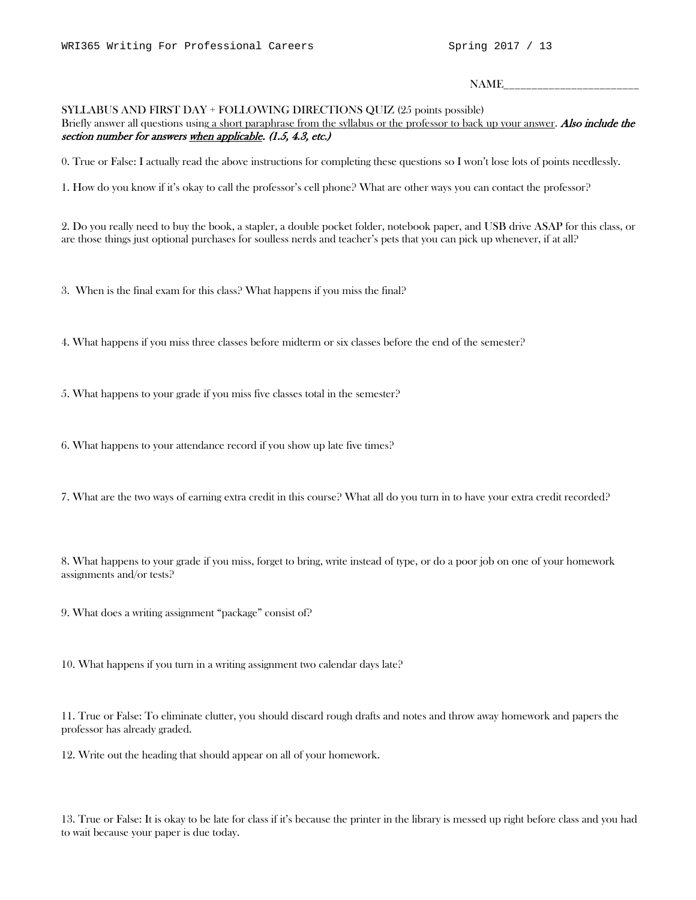$NAME$ 

#### SYLLABUS AND FIRST DAY + FOLLOWING DIRECTIONS QUIZ (25 points possible)

Briefly answer all questions using a short paraphrase from the syllabus or the professor to back up your answer. Also include the section number for answers when applicable. (1.5, 4.3, etc.)

0. True or False: I actually read the above instructions for completing these questions so I won't lose lots of points needlessly.

1. How do you know if it's okay to call the professor's cell phone? What are other ways you can contact the professor?

2. Do you really need to buy the book, a stapler, a double pocket folder, notebook paper, and USB drive ASAP for this class, or are those things just optional purchases for soulless nerds and teacher's pets that you can pick up whenever, if at all?

3. When is the final exam for this class? What happens if you miss the final?

4. What happens if you miss three classes before midterm or six classes before the end of the semester?

5. What happens to your grade if you miss five classes total in the semester?

6. What happens to your attendance record if you show up late five times?

7. What are the two ways of earning extra credit in this course? What all do you turn in to have your extra credit recorded?

8. What happens to your grade if you miss, forget to bring, write instead of type, or do a poor job on one of your homework assignments and/or tests?

9. What does a writing assignment "package" consist of?

10. What happens if you turn in a writing assignment two calendar days late?

11. True or False: To eliminate clutter, you should discard rough drafts and notes and throw away homework and papers the professor has already graded.

12. Write out the heading that should appear on all of your homework.

13. True or False: It is okay to be late for class if it's because the printer in the library is messed up right before class and you had to wait because your paper is due today.